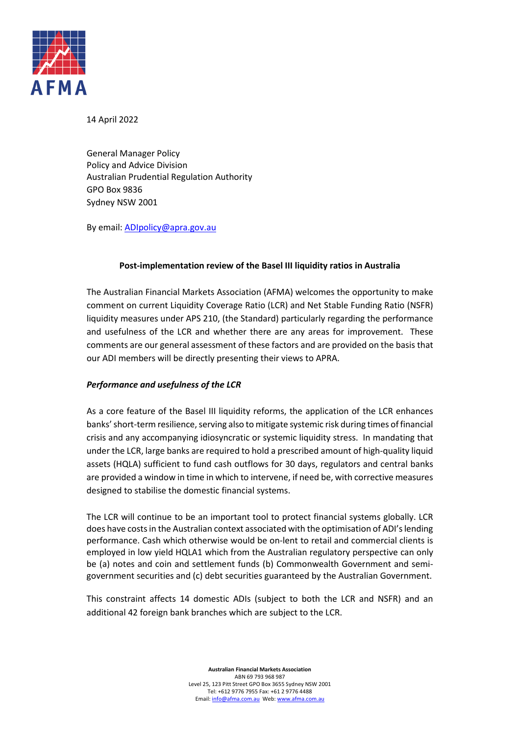

14 April 2022

General Manager Policy Policy and Advice Division Australian Prudential Regulation Authority GPO Box 9836 Sydney NSW 2001

By email[: ADIpolicy@apra.gov.au](mailto:ADIpolicy@apra.gov.au)

### **Post-implementation review of the Basel III liquidity ratios in Australia**

The Australian Financial Markets Association (AFMA) welcomes the opportunity to make comment on current Liquidity Coverage Ratio (LCR) and Net Stable Funding Ratio (NSFR) liquidity measures under APS 210, (the Standard) particularly regarding the performance and usefulness of the LCR and whether there are any areas for improvement. These comments are our general assessment of these factors and are provided on the basis that our ADI members will be directly presenting their views to APRA.

## *Performance and usefulness of the LCR*

As a core feature of the Basel III liquidity reforms, the application of the LCR enhances banks' short-term resilience, serving also to mitigate systemic risk during times of financial crisis and any accompanying idiosyncratic or systemic liquidity stress. In mandating that under the LCR, large banks are required to hold a prescribed amount of high-quality liquid assets (HQLA) sufficient to fund cash outflows for 30 days, regulators and central banks are provided a window in time in which to intervene, if need be, with corrective measures designed to stabilise the domestic financial systems.

The LCR will continue to be an important tool to protect financial systems globally. LCR does have costs in the Australian context associated with the optimisation of ADI's lending performance. Cash which otherwise would be on-lent to retail and commercial clients is employed in low yield HQLA1 which from the Australian regulatory perspective can only be (a) notes and coin and settlement funds (b) Commonwealth Government and semigovernment securities and (c) debt securities guaranteed by the Australian Government.

This constraint affects 14 domestic ADIs (subject to both the LCR and NSFR) and an additional 42 foreign bank branches which are subject to the LCR.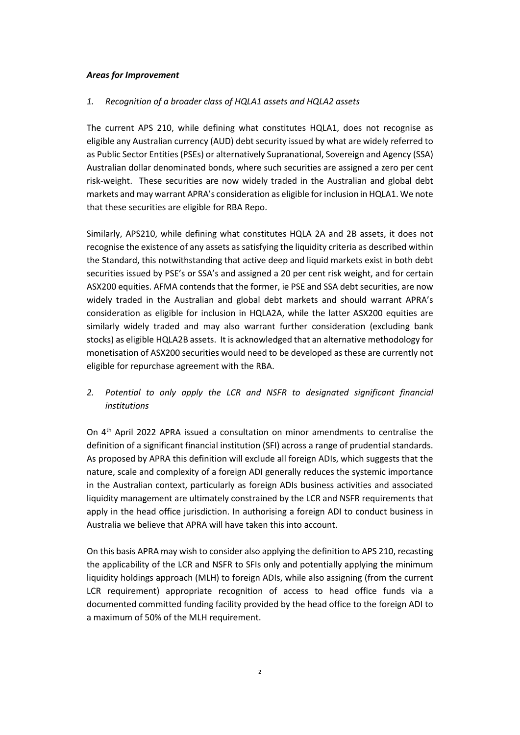#### *Areas for Improvement*

#### *1. Recognition of a broader class of HQLA1 assets and HQLA2 assets*

The current APS 210, while defining what constitutes HQLA1, does not recognise as eligible any Australian currency (AUD) debt security issued by what are widely referred to as Public Sector Entities (PSEs) or alternatively Supranational, Sovereign and Agency (SSA) Australian dollar denominated bonds, where such securities are assigned a zero per cent risk-weight. These securities are now widely traded in the Australian and global debt markets and may warrant APRA's consideration as eligible for inclusion in HQLA1. We note that these securities are eligible for RBA Repo.

Similarly, APS210, while defining what constitutes HQLA 2A and 2B assets, it does not recognise the existence of any assets as satisfying the liquidity criteria as described within the Standard, this notwithstanding that active deep and liquid markets exist in both debt securities issued by PSE's or SSA's and assigned a 20 per cent risk weight, and for certain ASX200 equities. AFMA contends that the former, ie PSE and SSA debt securities, are now widely traded in the Australian and global debt markets and should warrant APRA's consideration as eligible for inclusion in HQLA2A, while the latter ASX200 equities are similarly widely traded and may also warrant further consideration (excluding bank stocks) as eligible HQLA2B assets. It is acknowledged that an alternative methodology for monetisation of ASX200 securities would need to be developed as these are currently not eligible for repurchase agreement with the RBA.

# *2. Potential to only apply the LCR and NSFR to designated significant financial institutions*

On 4th April 2022 APRA issued a consultation on minor amendments to centralise the definition of a significant financial institution (SFI) across a range of prudential standards. As proposed by APRA this definition will exclude all foreign ADIs, which suggests that the nature, scale and complexity of a foreign ADI generally reduces the systemic importance in the Australian context, particularly as foreign ADIs business activities and associated liquidity management are ultimately constrained by the LCR and NSFR requirements that apply in the head office jurisdiction. In authorising a foreign ADI to conduct business in Australia we believe that APRA will have taken this into account.

On this basis APRA may wish to consider also applying the definition to APS 210, recasting the applicability of the LCR and NSFR to SFIs only and potentially applying the minimum liquidity holdings approach (MLH) to foreign ADIs, while also assigning (from the current LCR requirement) appropriate recognition of access to head office funds via a documented committed funding facility provided by the head office to the foreign ADI to a maximum of 50% of the MLH requirement.